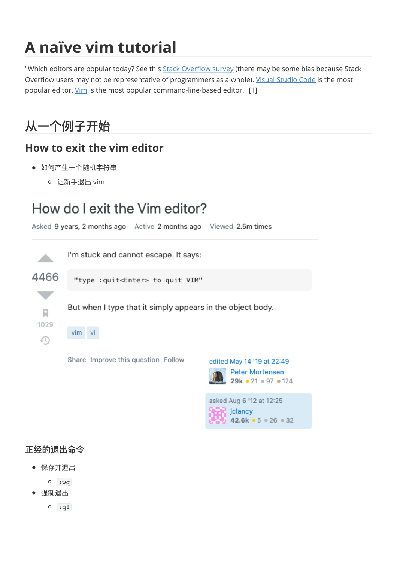# **A naïve vim tutorial**

"Which editors are popular today? See this **Stack Overflow survey** (there may be some bias because Stack Overflow users may not be representative of programmers as a whole). [Visual Studio Code](https://code.visualstudio.com/) is the most popular editor. [Vim](https://www.vim.org/) is the most popular command-line-based editor." [1]

## **从⼀个例⼦开始**

#### **How to exit the vim editor**

- 如何产生一个随机字符串
	- o 让新手退出 vim

## How do I exit the Vim editor?



 $29k - 21 = 97 - 124$ 

 $42.6k - 5 = 26 - 32$ 

asked Aug 6 '12 at 12:25

 $\Box$  jolancy

#### **正经的退出命令**

保存并退出

:wq

- 强制退出
	- $o$ :q!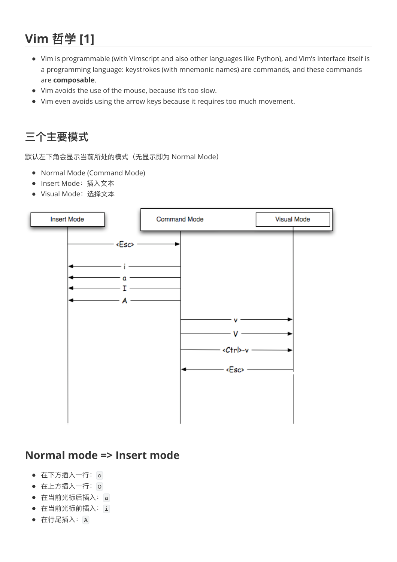## **Vim 哲学 [1]**

- Vim is programmable (with Vimscript and also other languages like Python), and Vim's interface itself is a programming language: keystrokes (with mnemonic names) are commands, and these commands are **composable**.
- Vim avoids the use of the mouse, because it's too slow.
- Vim even avoids using the arrow keys because it requires too much movement.

### **三个主要模式**

默认左下角会显示当前所处的模式 (无显示即为 Normal Mode)

- Normal Mode (Command Mode)
- Insert Mode: 插入文本
- Visual Mode: 选择文本



#### **Normal mode => Insert mode**

- 在下方插入一行: o
- 在上方插入一行: O
- 在当前光标后插入: a
- 在当前光标前插入: i
- 在行尾插入: A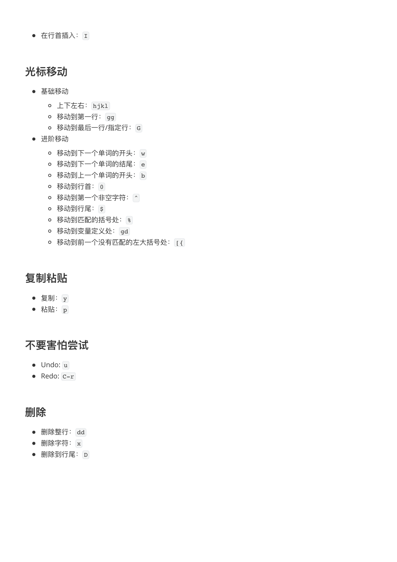• 在行首插入: I

#### **光标移动**

- 基础移动
	- 上下左右: hjkl
	- o 移动到第一行: gg
	- o 移动到最后一行/指定行: G
- 进阶移动
	- 移动到下一个单词的开头: w
	- o 移动到下一个单词的结尾: e
	- o 移动到上一个单词的开头: b
	- o 移动到行首: 0
	- 移动到第一个非空字符: ^
	- o 移动到行尾: \$
	- 移动到匹配的括号处: %
	- 移动到变量定义处: gd
	- o 移动到前一个没有匹配的左大括号处: [{

#### **复制粘贴**

- 复制: y
- 粘贴: p

### **不要害怕尝试**

- Undo: u
- Redo: C-r

#### **删除**

- **删除整行**: dd
- 删除字符: x
- 删除到行尾: D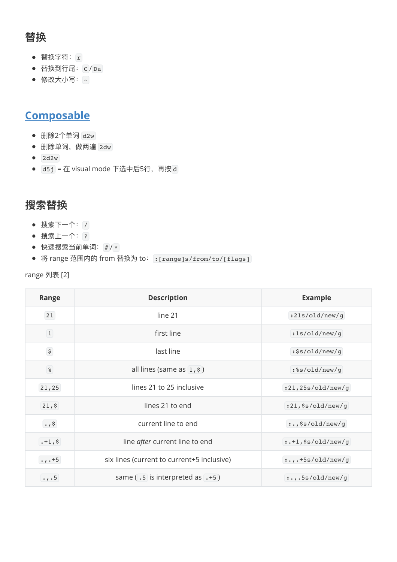### **替换**

- 替换字符: r
- 替换到行尾:  $C / Da$
- <span id="page-3-0"></span>● 修改大小写: ~

### **[Composable](#page-3-0)**

- 删除2个单词 d2w
- 删除单词, 做两遍 2dw
- $\bullet$  2d2w
- d5j = 在 visual mode 下选中后5行, 再按 d

#### **搜索替换**

- 搜索下一个: /
- 搜索上一个: ?
- 快速搜索当前单词: # / \*
- 将 range 范围内的 from 替换为 to: : [range]s/from/to/[flags]

| range 列表 [2] |  |  |
|--------------|--|--|
|--------------|--|--|

| Range                     | <b>Description</b>                               | <b>Example</b>         |
|---------------------------|--------------------------------------------------|------------------------|
| 21                        | line 21                                          | :21s/old/new/g         |
| $\boxed{1}$               | first line                                       | :1s/old/new/g          |
| $\boldsymbol{\mathsf{S}}$ | last line                                        | :\$s/old/new/g         |
| $8^{\circ}$               | all lines (same as $\left(1, \frac{1}{5}\right)$ | :%s/old/new/g          |
| 21, 25                    | lines 21 to 25 inclusive                         | :21,25s/old/new/g      |
| 21,5                      | lines 21 to end                                  | :21, \$s/old/new/g     |
| $\cdot$ , \$              | current line to end                              | :.,\$s/old/new/g       |
| $. +1,$ \$                | line after current line to end                   | $:.+1$ , \$s/old/new/g |
| $\cdot$ , $\cdot$ +5      | six lines (current to current+5 inclusive)       | $:., .+5s/old(new/g)$  |
| $\cdot$ , $\cdot$ 5       | same $(.5)$ is interpreted as $(.5)$             | :5s/old(new/g)         |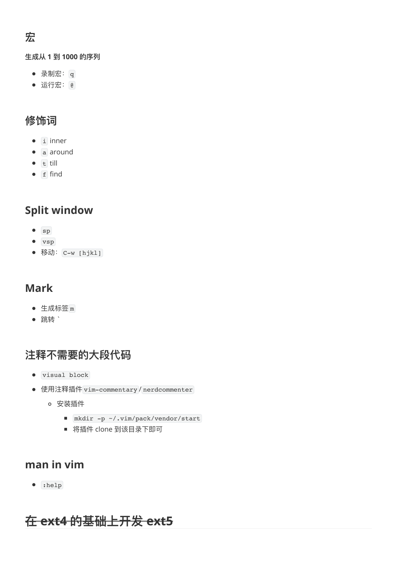## **宏**

#### **⽣成从 1 到 1000 的序列**

- 录制宏: q
- 运⾏宏: @

#### **修饰词**

- $\bullet$  i inner
- a around
- $\bullet$  till
- $\bullet$  find

### **Split window**

- $\bullet$  sp
- vsp
- 移动: C-w [hjkl]

#### **Mark**

- 生成标签 m
- 跳转 `

#### **注释不需要的⼤段代码**

- visual block
- 使用注释插件 vim-commentary / nerdcommenter
	- 安装插件
		- mkdir -p ~/.vim/pack/vendor/start
		- 将插件 clone 到该目录下即可

#### **man in vim**

 $\bullet$  :help

## **在 ext4 的基础上开发 ext5**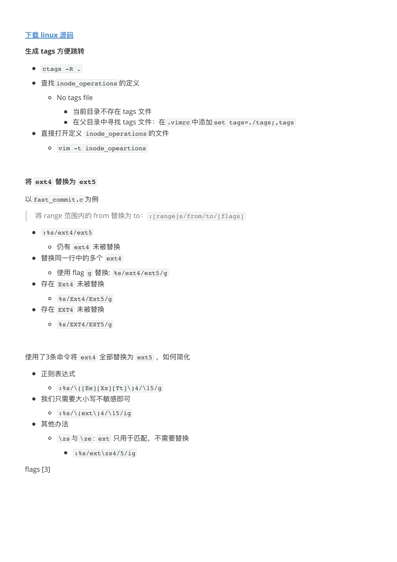#### **下载 [linux](https://kernel.org/) 源码**

#### **⽣成 tags ⽅便跳转**

- $\bullet$  ctags  $-R$ .
- 查找 inode\_operations 的定义
	- No tags file
		- 当前目录不存在 tags 文件
		- 在父目录中寻找 tags 文件: 在 .vimrc 中添加 set tags=./tags;,tags
- 直接打开定义 inode\_operations 的文件
	- vim -t inode\_opeartions

#### **将 ext4 替换为 ext5**

以 fast\_commit.c 为例

将 range 范围内的 from 替换为 to: : [range]s/from/to/[flags]

- $:$   $\frac{1}{2}$  :  $\frac{1}{2}$  /ext4/ext5
	- 仍有 ext4 未被替换
- 替换同一行中的多个 ext4
	- o 使用 flag g 替换: %s/ext4/ext5/g
- 存在 Ext4 未被替换
	- %s/Ext4/Ext5/g
- 存在 EXT4 未被替换
	- %s/EXT4/EXT5/g

使用了3条命令将 ext4 全部替换为 ext5, 如何简化

- 正则表达式
	- $0$  :  $s/\\$  ([Ee][Xx][Tt]\)4/\15/g
- 我们只需要大小写不敏感即可
	- $0$  :  $\frac{8s}{\text{c}}\cdot\frac{15}{ig}$
- 其他办法
	- o \zs 与 \ze: ext 只用于匹配, 不需要替换
		- $:$   $\frac{8s}{\text{ext}\zeta}$  /  $\frac{1}{5}$

flags [3]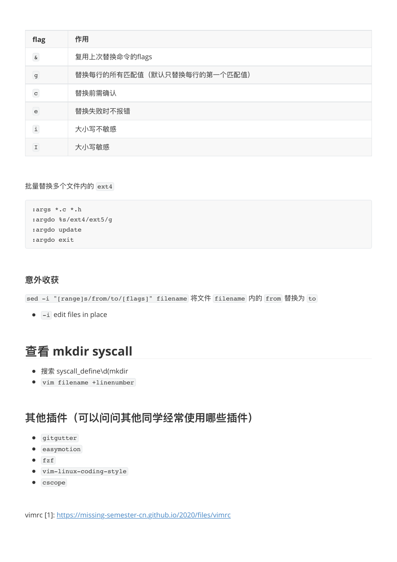| flag                                                                                                             | 作用                         |
|------------------------------------------------------------------------------------------------------------------|----------------------------|
| $\&$                                                                                                             | 复用上次替换命令的flags             |
| $\mathsf{g}$                                                                                                     | 替换每行的所有匹配值(默认只替换每行的第一个匹配值) |
| $\mathbf{C}$                                                                                                     | 替换前需确认                     |
| $\mathsf{e}% _{0}\left( \mathsf{e}_{0}\right) ^{1}\left( \mathsf{e}_{0}\right) ^{1}\left( \mathsf{e}_{0}\right)$ | 替换失败时不报错                   |
| $\mathtt{i}$                                                                                                     | 大小写不敏感                     |
| I                                                                                                                | 大小写敏感                      |

批量替换多个文件内的 ext4

```
:args *.c *.h
:argdo %s/ext4/ext5/g
:argdo update
:argdo exit
```
#### **意外收获**

sed -i "[range]s/from/to/[flags]" filename 将文件 filename 内的 from 替换为 to

 $\bullet$   $\overline{-i}$  edit files in place

## **查看 mkdir syscall**

- 搜索 syscall\_define\d(mkdir
- vim filename +linenumber

#### 其他插件(可以问问其他同学经常使用哪些插件)

- **•** gitgutter
- **e** easymotion
- $fzf$
- vim-linux-coding-style
- $\bullet$  cscope